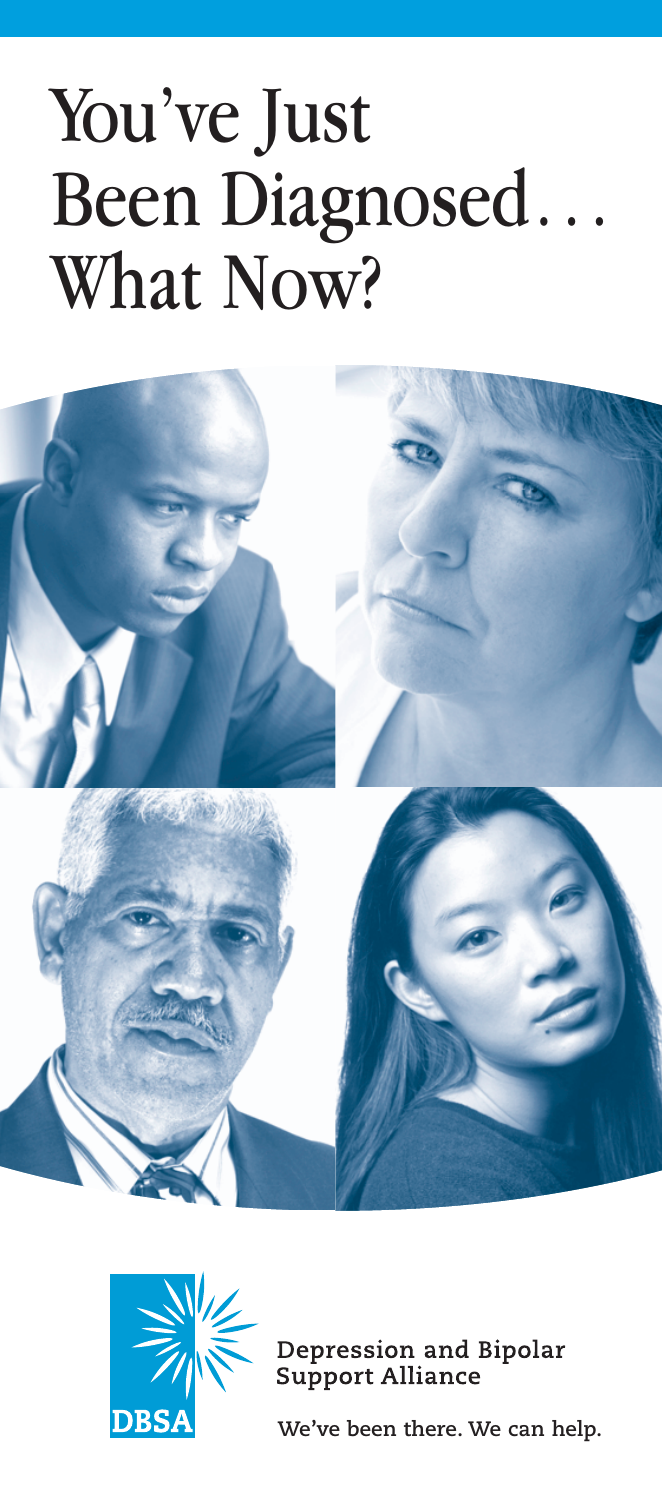# You've Just Been Diagnosed… What Now?





Depression and Bipolar<br>Support Alliance

**We've been there. We can help.**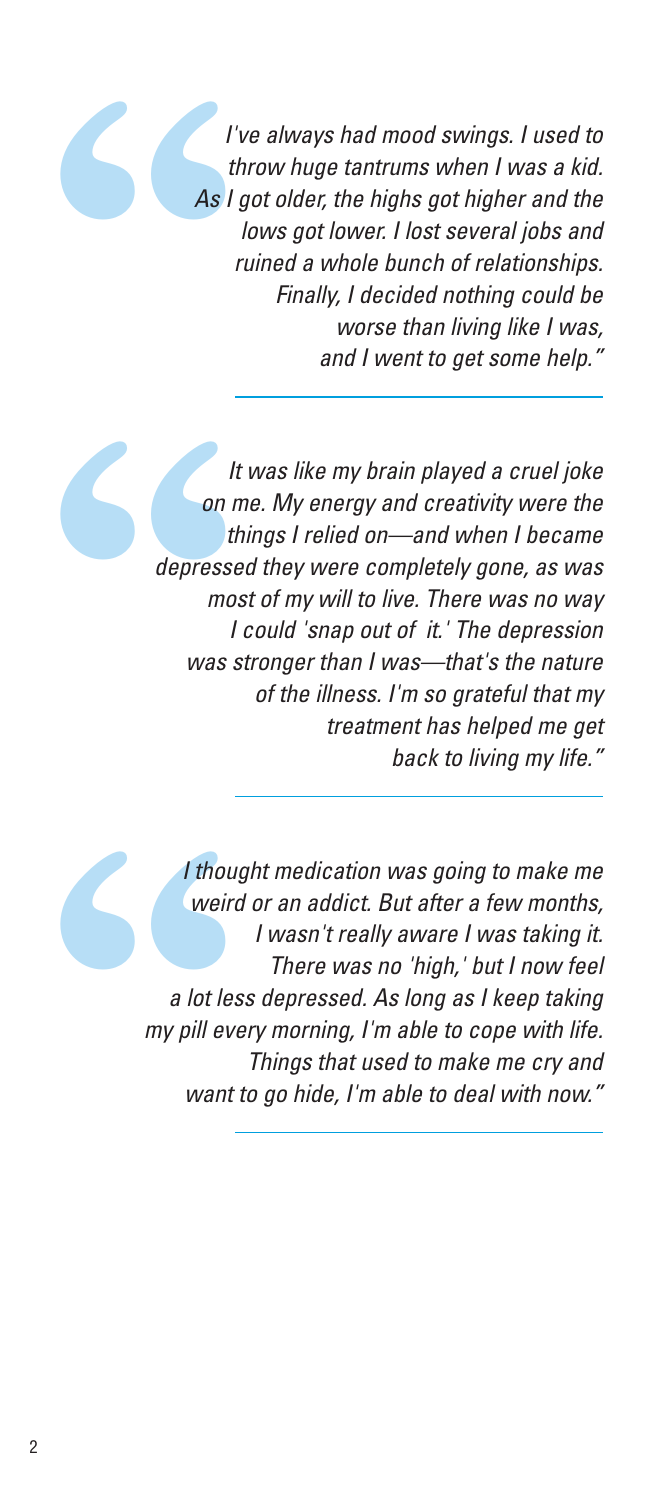**1'**<br> **As | th**<br> **As | th**<br> **r** I've always had mood swings. I used to throw huge tantrums when I was a kid. As I got older, the highs got higher and the lows got lower. I lost several jobs and ruined a whole bunch of relationships. Finally, I decided nothing could be worse than living like I was, and I went to get some help."

It<br>
on m<br>
th<br>
depresse<br>
mos<br>
I<br>
was s It was like my brain played a cruel joke on me. My energy and creativity were the things I relied on—and when I became depressed they were completely gone, as was most of my will to live. There was no way I could 'snap out of it.' The depression was stronger than I was—that's the nature of the illness. I'm so grateful that my treatment has helped me get back to living my life."

I though weird<br>
weird<br>
a lot les<br>
my pill eve<br>
want t I thought medication was going to make me weird or an addict. But after a few months, I wasn't really aware I was taking it. There was no 'high,' but I now feel a lot less depressed. As long as I keep taking my pill every morning, I'm able to cope with life. Things that used to make me cry and want to go hide, I'm able to deal with now."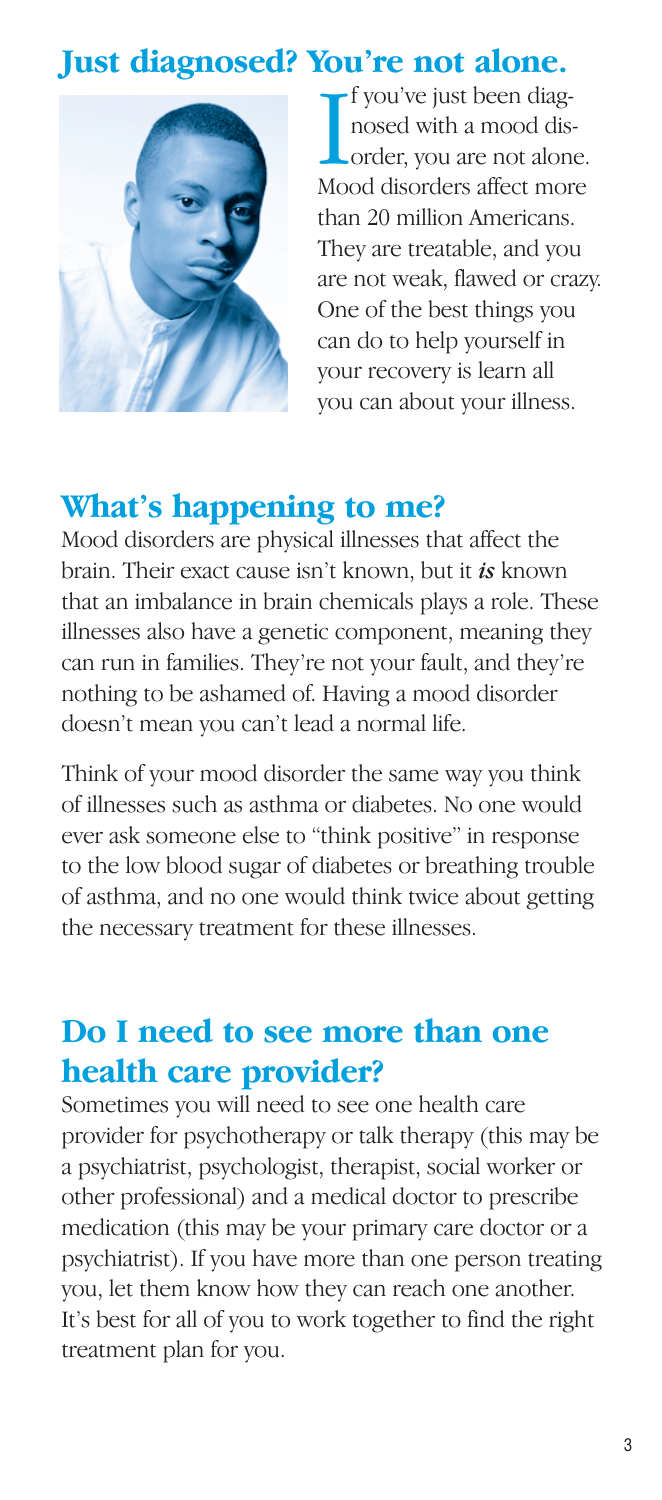## **Just diagnosed? You're not alone.**



I fyou've just been diag-<br>nosed with a mood dis-<br>order, you are not alone<br>Mood disorders affect more f you've just been diagnosed with a mood disorder, you are not alone. than 20 million Americans. They are treatable, and you are not weak, flawed or crazy. One of the best things you can do to help yourself in your recovery is learn all you can about your illness.

#### **What's happening to me?**

Mood disorders are physical illnesses that affect the brain. Their exact cause isn't known, but it *is* known that an imbalance in brain chemicals plays a role. These illnesses also have a genetic component, meaning they can run in families. They're not your fault, and they're nothing to be ashamed of. Having a mood disorder doesn't mean you can't lead a normal life.

Think of your mood disorder the same way you think of illnesses such as asthma or diabetes. No one would ever ask someone else to "think positive" in response to the low blood sugar of diabetes or breathing trouble of asthma, and no one would think twice about getting the necessary treatment for these illnesses.

## **Do I need to see more than one health care provider?**

Sometimes you will need to see one health care provider for psychotherapy or talk therapy (this may be a psychiatrist, psychologist, therapist, social worker or other professional) and a medical doctor to prescribe medication (this may be your primary care doctor or a psychiatrist). If you have more than one person treating you, let them know how they can reach one another. It's best for all of you to work together to find the right treatment plan for you.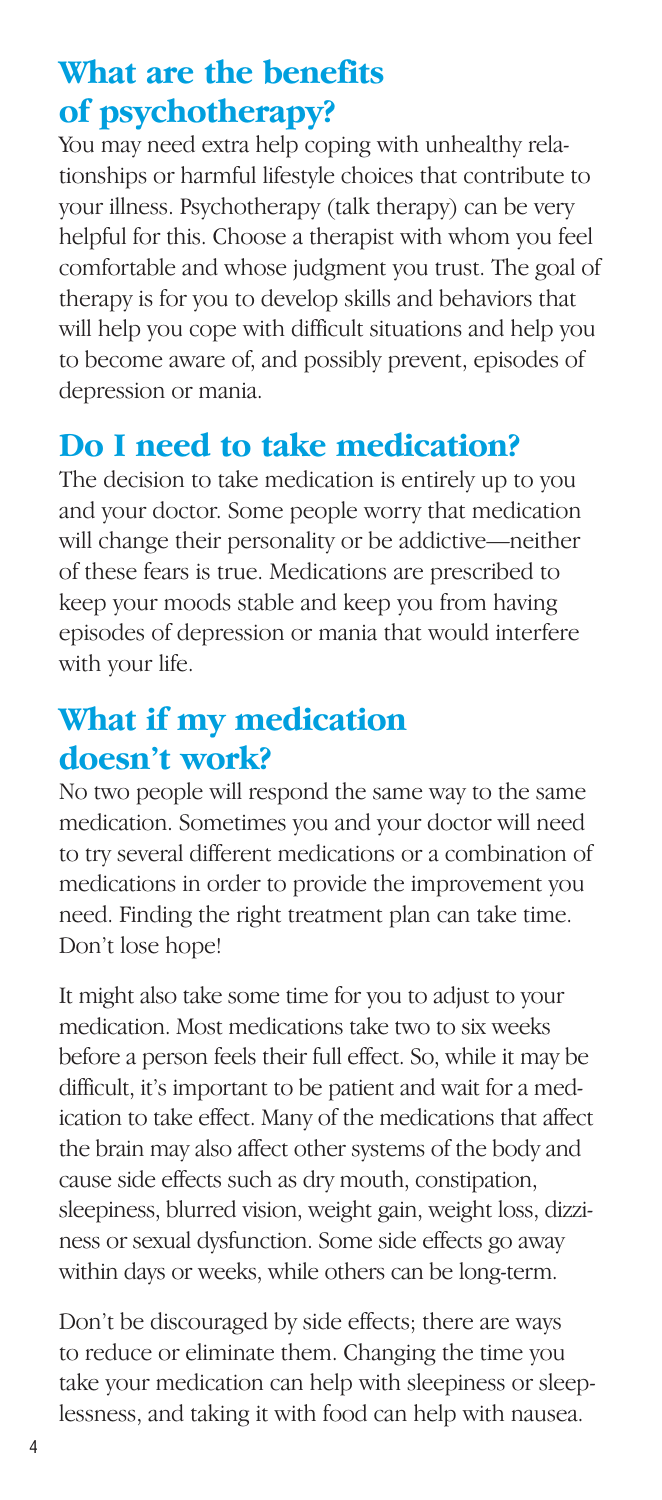## **What are the benefits of psychotherapy?**

You may need extra help coping with unhealthy relationships or harmful lifestyle choices that contribute to your illness. Psychotherapy (talk therapy) can be very helpful for this. Choose a therapist with whom you feel comfortable and whose judgment you trust. The goal of therapy is for you to develop skills and behaviors that will help you cope with difficult situations and help you to become aware of, and possibly prevent, episodes of depression or mania.

## **Do I need to take medication?**

The decision to take medication is entirely up to you and your doctor. Some people worry that medication will change their personality or be addictive—neither of these fears is true. Medications are prescribed to keep your moods stable and keep you from having episodes of depression or mania that would interfere with your life.

## **What if my medication doesn't work?**

No two people will respond the same way to the same medication. Sometimes you and your doctor will need to try several different medications or a combination of medications in order to provide the improvement you need. Finding the right treatment plan can take time. Don't lose hope!

It might also take some time for you to adjust to your medication. Most medications take two to six weeks before a person feels their full effect. So, while it may be difficult, it's important to be patient and wait for a medication to take effect. Many of the medications that affect the brain may also affect other systems of the body and cause side effects such as dry mouth, constipation, sleepiness, blurred vision, weight gain, weight loss, dizziness or sexual dysfunction. Some side effects go away within days or weeks, while others can be long-term.

Don't be discouraged by side effects; there are ways to reduce or eliminate them. Changing the time you take your medication can help with sleepiness or sleeplessness, and taking it with food can help with nausea.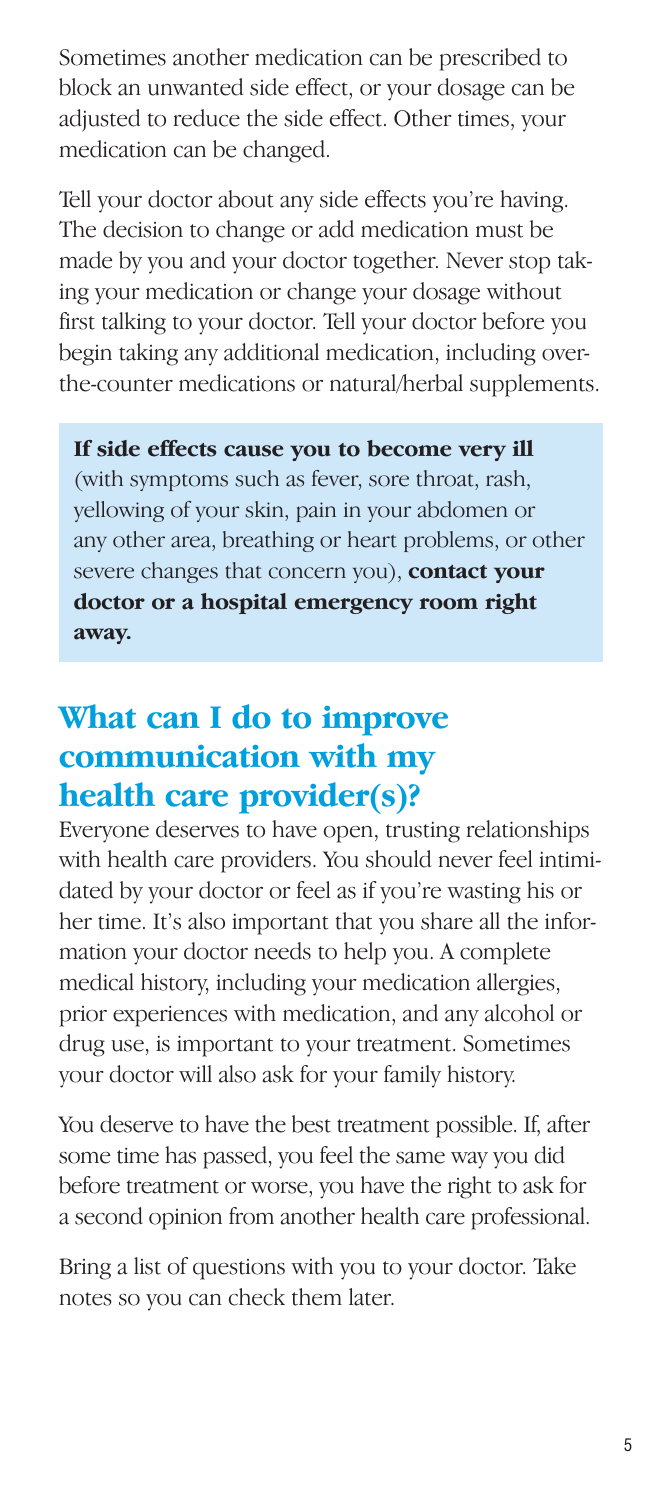Sometimes another medication can be prescribed to block an unwanted side effect, or your dosage can be adjusted to reduce the side effect. Other times, your medication can be changed.

Tell your doctor about any side effects you're having. The decision to change or add medication must be made by you and your doctor together. Never stop taking your medication or change your dosage without first talking to your doctor. Tell your doctor before you begin taking any additional medication, including overthe-counter medications or natural/herbal supplements.

#### **If side effects cause you to become very ill**

(with symptoms such as fever, sore throat, rash, yellowing of your skin, pain in your abdomen or any other area, breathing or heart problems, or other severe changes that concern you), **contact your doctor or a hospital emergency room right away.** 

## **What can I do to improve communication with my health care provider(s)?**

Everyone deserves to have open, trusting relationships with health care providers. You should never feel intimidated by your doctor or feel as if you're wasting his or her time. It's also important that you share all the information your doctor needs to help you. A complete medical history, including your medication allergies, prior experiences with medication, and any alcohol or drug use, is important to your treatment. Sometimes your doctor will also ask for your family history.

You deserve to have the best treatment possible. If, after some time has passed, you feel the same way you did before treatment or worse, you have the right to ask for a second opinion from another health care professional.

Bring a list of questions with you to your doctor. Take notes so you can check them later.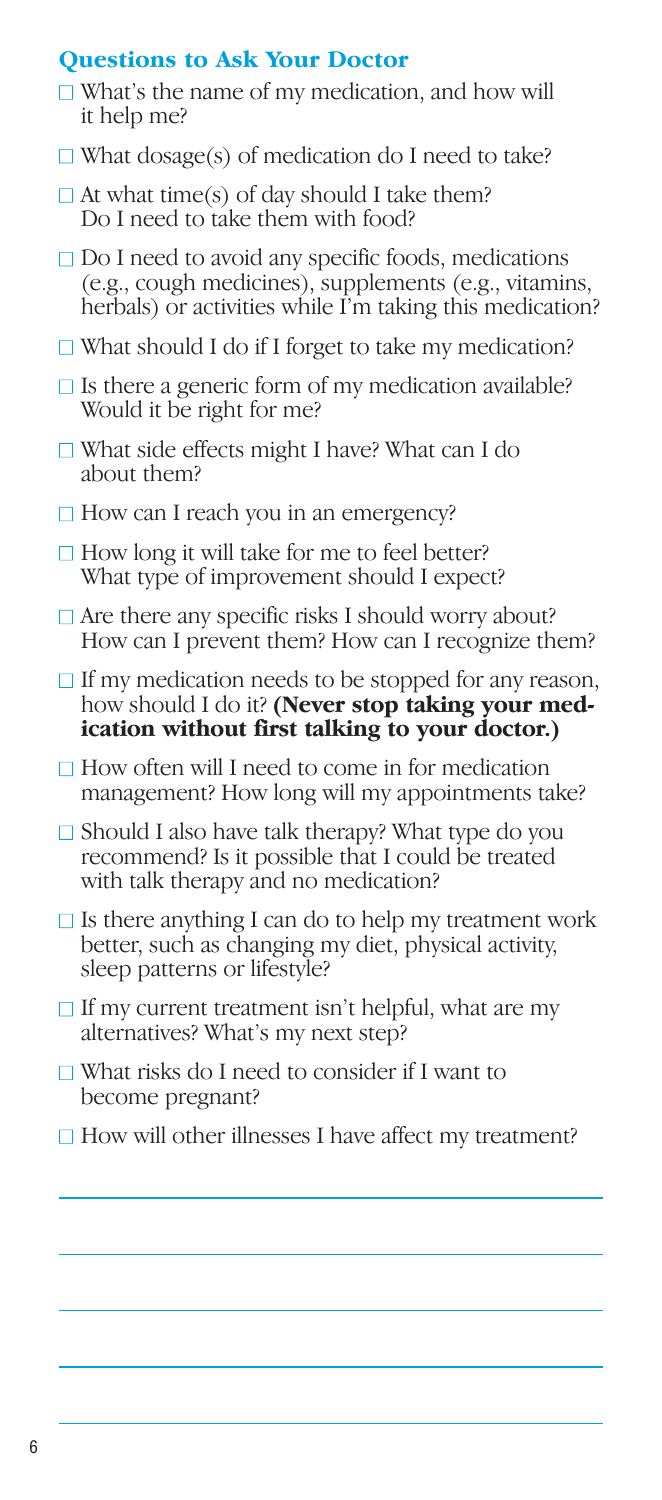#### **Questions to Ask Your Doctor**

- $\Box$  What's the name of my medication, and how will it help me?
- $\Box$  What dosage(s) of medication do I need to take?
- $\Box$  At what time(s) of day should I take them? Do I need to take them with food?
- □ Do I need to avoid any specific foods, medications (e.g., cough medicines), supplements (e.g., vitamins, herbals) or activities while I'm taking this medication?
- $\Box$  What should I do if I forget to take my medication?
- $\Box$  Is there a generic form of my medication available? Would it be right for me?
- $\Box$  What side effects might I have? What can I do about them?
- $\Box$  How can I reach you in an emergency?
- $\Box$  How long it will take for me to feel better? What type of improvement should I expect?
- $\Box$  Are there any specific risks I should worry about? How can I prevent them? How can I recognize them?
- $\Box$  If my medication needs to be stopped for any reason, how should I do it? **(Never stop taking your medication without first talking to your doctor.)**
- $\Box$  How often will I need to come in for medication management? How long will my appointments take?
- □ Should I also have talk therapy? What type do you recommend? Is it possible that I could be treated with talk therapy and no medication?
- $\Box$  Is there anything I can do to help my treatment work better, such as changing my diet, physical activity, sleep patterns or lifestyle?
- $\Box$  If my current treatment isn't helpful, what are my alternatives? What's my next step?
- $\Box$  What risks do I need to consider if I want to become pregnant?
- $\Box$  How will other illnesses I have affect my treatment?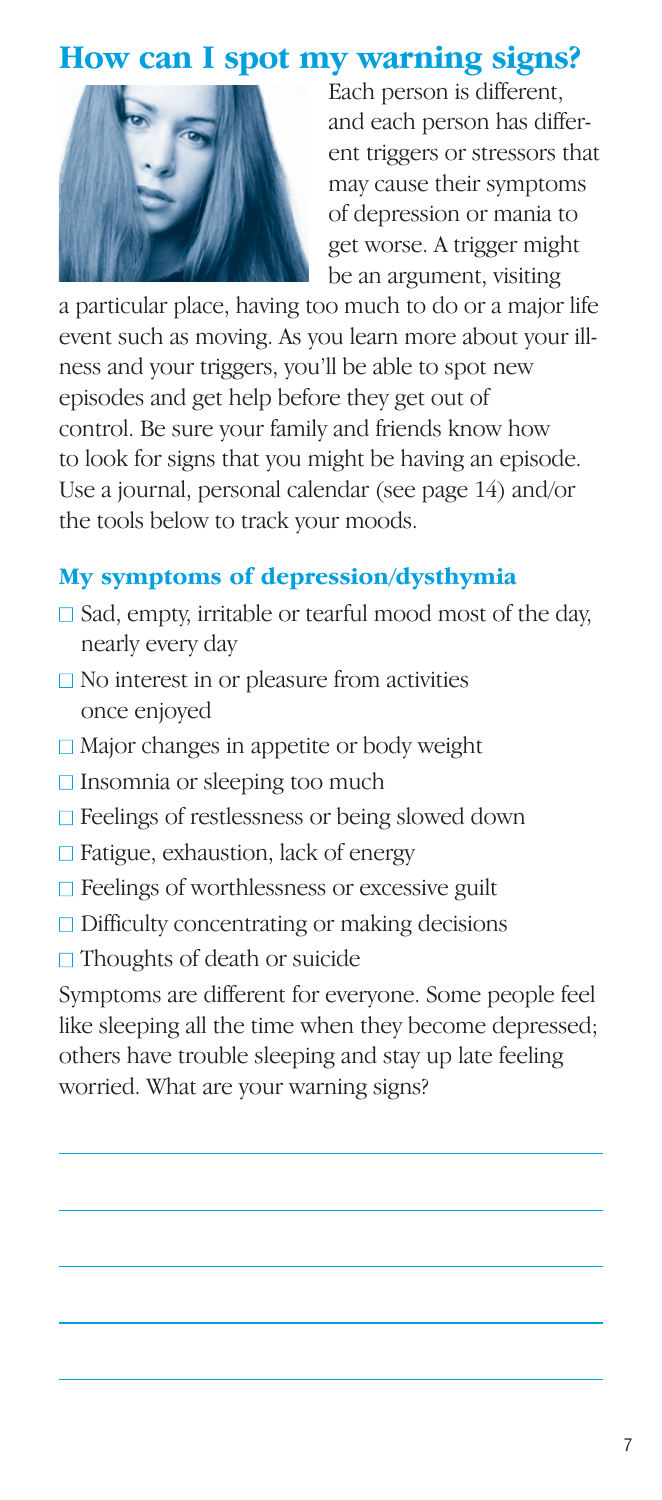#### **How can I spot my warning signs?**



Each person is different, and each person has different triggers or stressors that may cause their symptoms of depression or mania to get worse. A trigger might be an argument, visiting

a particular place, having too much to do or a major life event such as moving. As you learn more about your illness and your triggers, you'll be able to spot new episodes and get help before they get out of control. Be sure your family and friends know how to look for signs that you might be having an episode. Use a journal, personal calendar (see page 14) and/or the tools below to track your moods.

#### **My symptoms of depression/dysthymia**

- $\Box$  Sad, empty, irritable or tearful mood most of the day, nearly every day
- $\Box$  No interest in or pleasure from activities once enjoyed
- □ Major changes in appetite or body weight
- $\Box$  Insomnia or sleeping too much
- □ Feelings of restlessness or being slowed down
- $\Box$  Fatigue, exhaustion, lack of energy
- $\Box$  Feelings of worthlessness or excessive guilt
- $\Box$  Difficulty concentrating or making decisions
- $\Box$  Thoughts of death or suicide

Symptoms are different for everyone. Some people feel like sleeping all the time when they become depressed; others have trouble sleeping and stay up late feeling worried. What are your warning signs?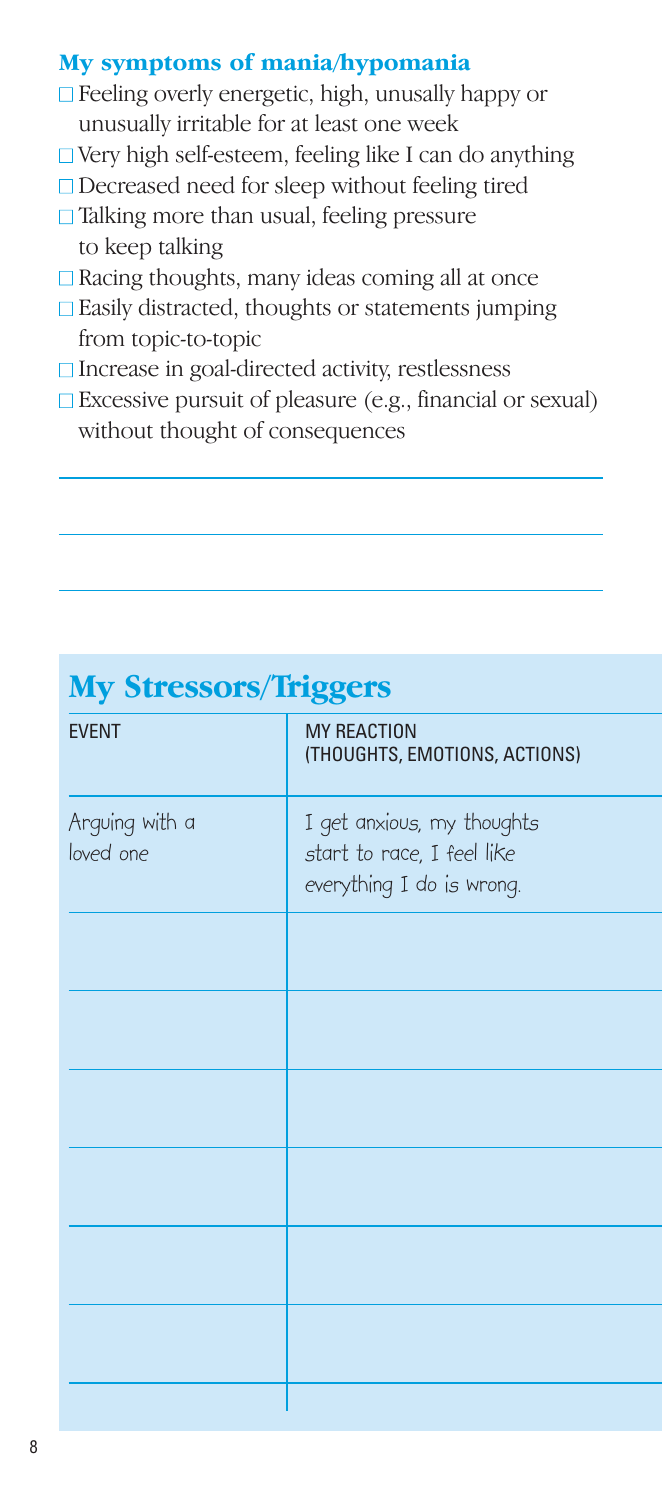#### **My symptoms of mania/hypomania**

- $\Box$  Feeling overly energetic, high, unusally happy or unusually irritable for at least one week
- $\Box$  Very high self-esteem, feeling like I can do anything
- □ Decreased need for sleep without feeling tired
- $\Box$  Talking more than usual, feeling pressure to keep talking
- $\Box$  Racing thoughts, many ideas coming all at once
- □ Easily distracted, thoughts or statements jumping from topic-to-topic
- □ Increase in goal-directed activity, restlessness
- $\Box$  Excessive pursuit of pleasure (e.g., financial or sexual) without thought of consequences

| 1117 ULL COULD 11155010     |                                                                                       |
|-----------------------------|---------------------------------------------------------------------------------------|
| <b>EVENT</b>                | <b>MY REACTION</b><br>(THOUGHTS, EMOTIONS, ACTIONS)                                   |
| Arguing with a<br>loved one | I get anxious, my thoughts<br>start to race, I feel like<br>everything I do is wrong. |
|                             |                                                                                       |
|                             |                                                                                       |
|                             |                                                                                       |
|                             |                                                                                       |
|                             |                                                                                       |
|                             |                                                                                       |
|                             |                                                                                       |

## **My Stressors/Trigger**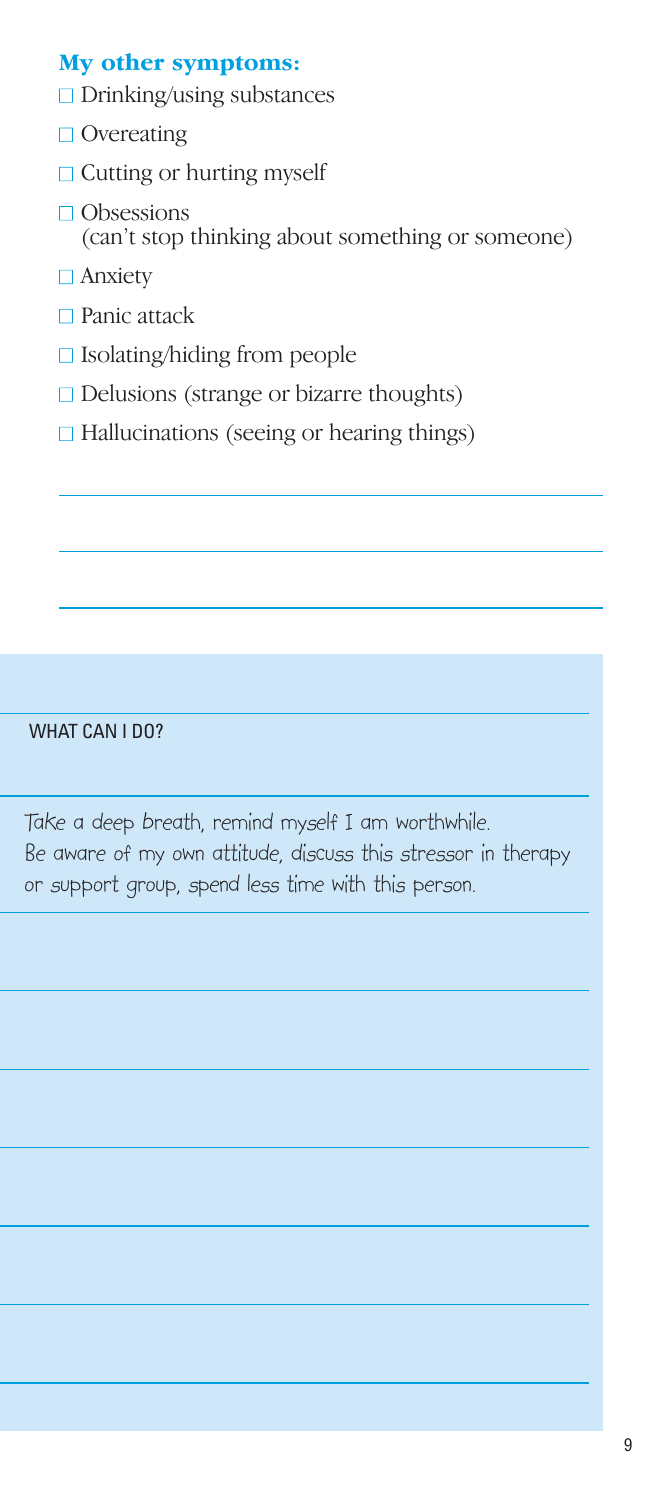#### **My other symptoms:**

- $\Box$  Drinking/using substances
- □ Overeating
- $\Box$  Cutting or hurting myself
- □ Obsessions (can't stop thinking about something or someone)
- □ Anxiety
- □ Panic attack
- □ Isolating/hiding from people
- $\Box$  Delusions (strange or bizarre thoughts)
- $\Box$  Hallucinations (seeing or hearing things)

WHAT CAN I DO?

Take a deep breath, remind myself I am worthwhile. Be aware of my own attitude, discuss this stressor in therapy or support group, spend less time with this person.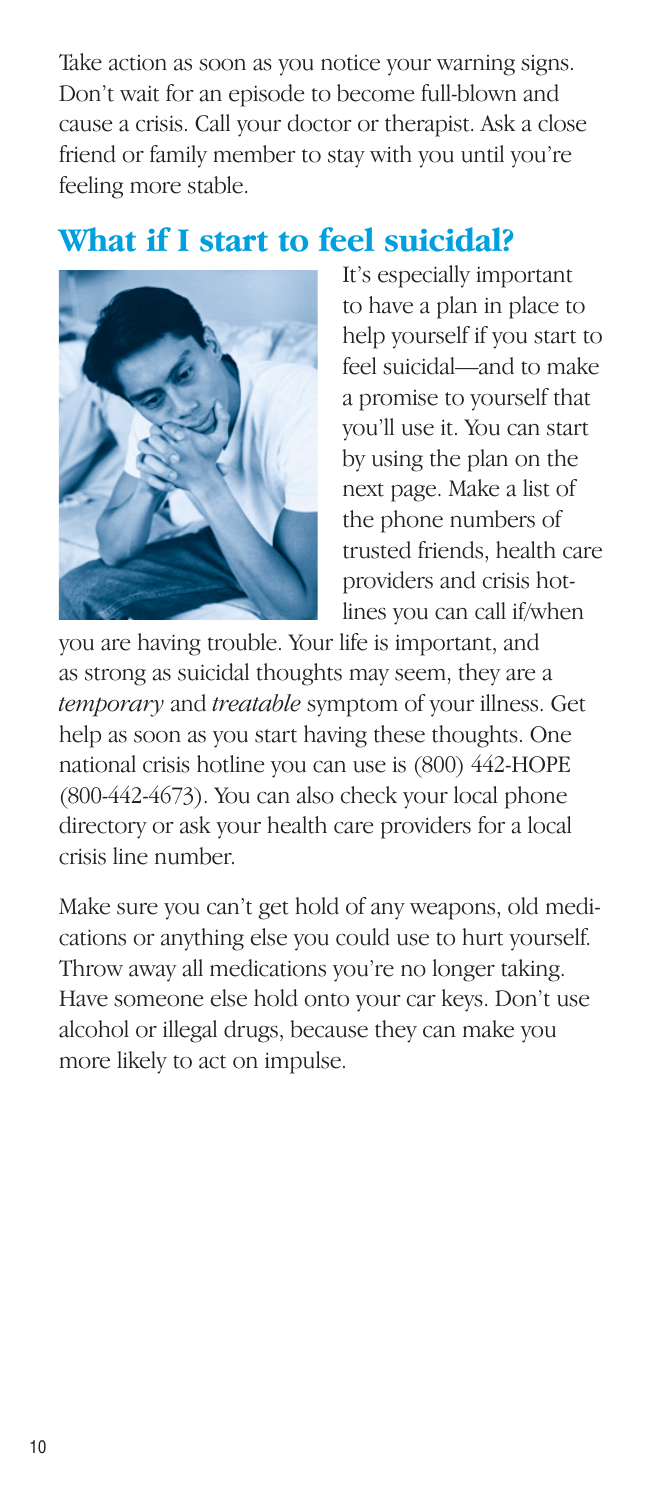Take action as soon as you notice your warning signs. Don't wait for an episode to become full-blown and cause a crisis. Call your doctor or therapist. Ask a close friend or family member to stay with you until you're feeling more stable.

### **What if I start to feel suicidal?**



It's especially important to have a plan in place to help yourself if you start to feel suicidal—and to make a promise to yourself that you'll use it. You can start by using the plan on the next page. Make a list of the phone numbers of trusted friends, health care providers and crisis hotlines you can call if/when

you are having trouble. Your life is important, and as strong as suicidal thoughts may seem, they are a *temporary* and *treatable* symptom of your illness. Get help as soon as you start having these thoughts. One national crisis hotline you can use is (800) 442-HOPE (800-442-4673). You can also check your local phone directory or ask your health care providers for a local crisis line number.

Make sure you can't get hold of any weapons, old medications or anything else you could use to hurt yourself. Throw away all medications you're no longer taking. Have someone else hold onto your car keys. Don't use alcohol or illegal drugs, because they can make you more likely to act on impulse.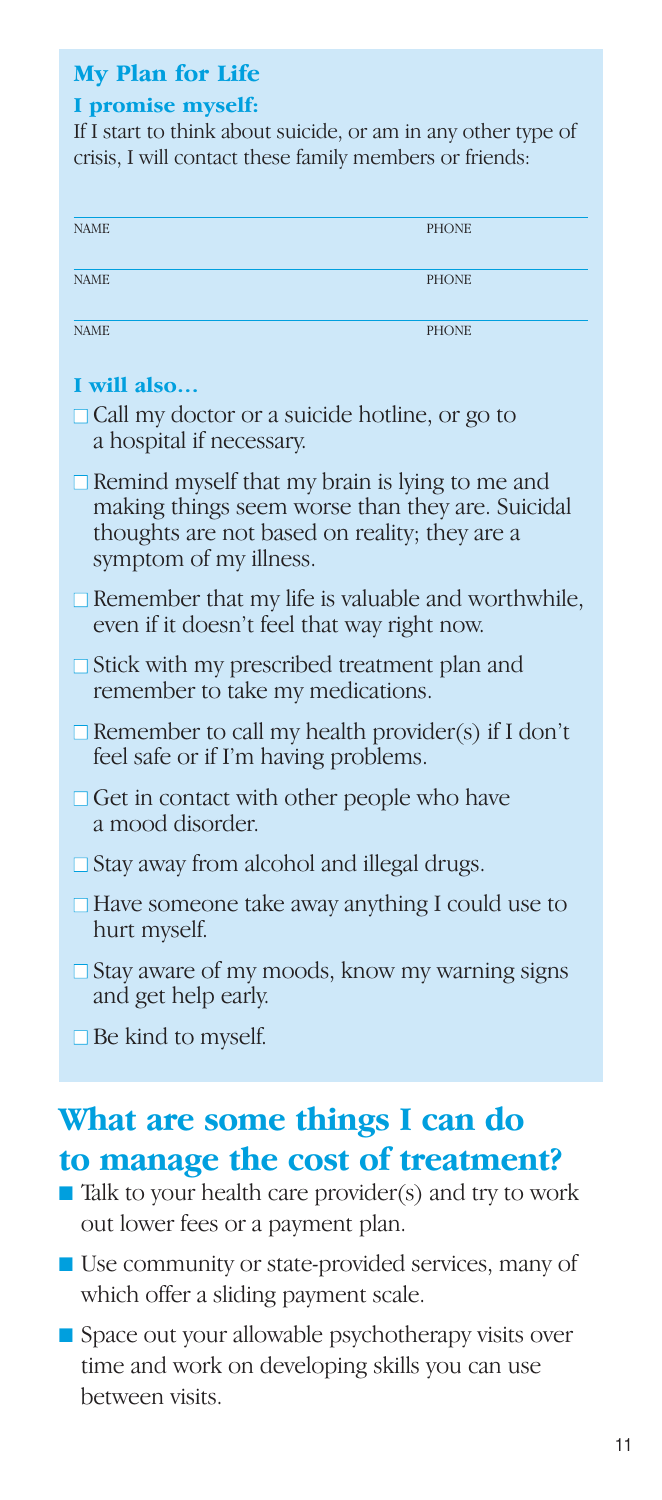#### **My Plan for Life**

#### **I promise myself:**

If I start to think about suicide, or am in any other type of crisis, I will contact these family members or friends:

| <b>NAME</b> | <b>PHONE</b> |
|-------------|--------------|
| <b>NAME</b> | <b>PHONE</b> |
| <b>NAME</b> | <b>PHONE</b> |

#### **I will also…**

- $\Box$  Call my doctor or a suicide hotline, or go to a hospital if necessary.
- $\Box$  Remind myself that my brain is lying to me and making things seem worse than they are. Suicidal thoughts are not based on reality; they are a symptom of my illness.
- $\Box$  Remember that my life is valuable and worthwhile, even if it doesn't feel that way right now.
- $\Box$  Stick with my prescribed treatment plan and remember to take my medications.
- $\Box$  Remember to call my health provider(s) if I don't feel safe or if I'm having problems.
- $\Box$  Get in contact with other people who have a mood disorder.
- $\Box$  Stay away from alcohol and illegal drugs.
- $\Box$  Have someone take away anything I could use to hurt myself.
- $\Box$  Stay aware of my moods, know my warning signs and get help early.
- $\Box$  Be kind to myself.

## **What are some things I can do to manage the cost of treatment?**

- Talk to your health care provider(s) and try to work out lower fees or a payment plan.
- Use community or state-provided services, many of which offer a sliding payment scale.
- Space out your allowable psychotherapy visits over time and work on developing skills you can use between visits.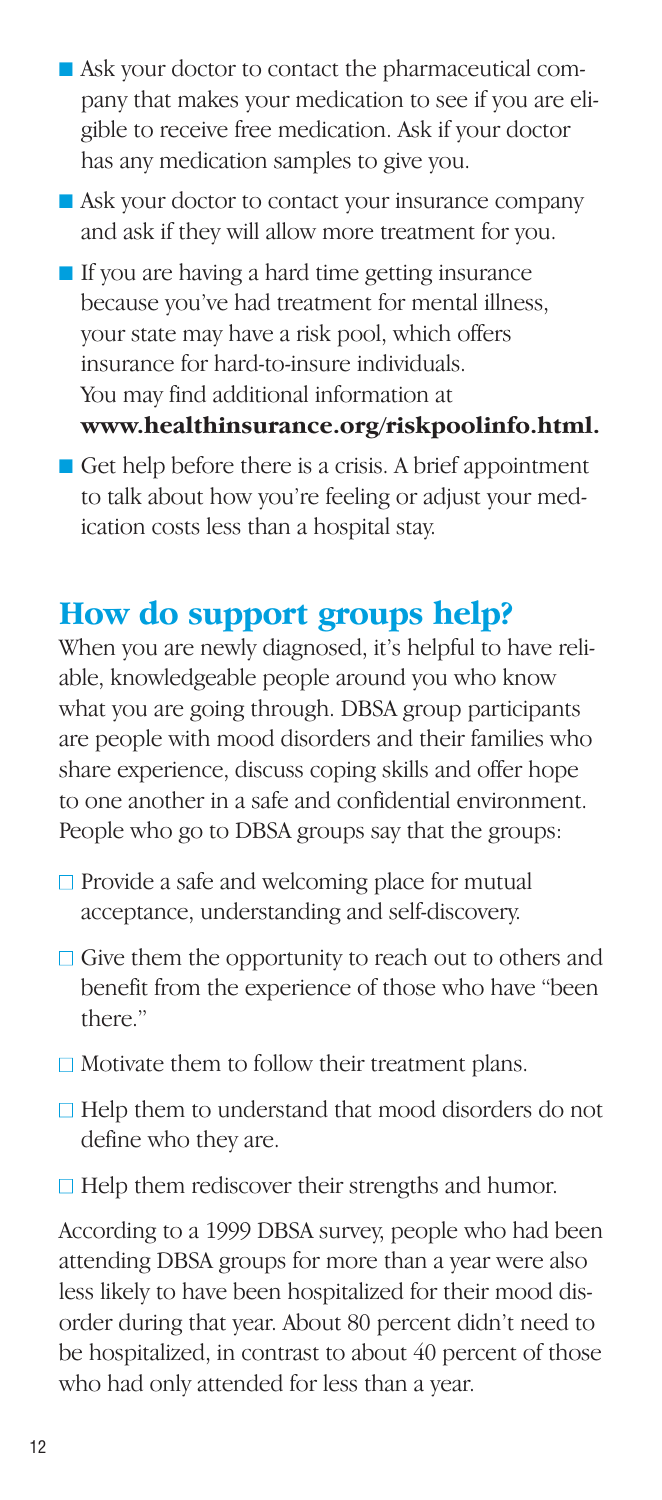- Ask your doctor to contact the pharmaceutical company that makes your medication to see if you are eligible to receive free medication. Ask if your doctor has any medication samples to give you.
- Ask your doctor to contact your insurance company and ask if they will allow more treatment for you.
- If you are having a hard time getting insurance because you've had treatment for mental illness, your state may have a risk pool, which offers insurance for hard-to-insure individuals. You may find additional information at **www.healthinsurance.org/riskpoolinfo.html.**
- Get help before there is a crisis. A brief appointment to talk about how you're feeling or adjust your medication costs less than a hospital stay.

#### **How do support groups help?**

When you are newly diagnosed, it's helpful to have reliable, knowledgeable people around you who know what you are going through. DBSA group participants are people with mood disorders and their families who share experience, discuss coping skills and offer hope to one another in a safe and confidential environment. People who go to DBSA groups say that the groups:

- $\Box$  Provide a safe and welcoming place for mutual acceptance, understanding and self-discovery.
- $\Box$  Give them the opportunity to reach out to others and benefit from the experience of those who have "been there"
- $\Box$  Motivate them to follow their treatment plans.
- $\Box$  Help them to understand that mood disorders do not define who they are.
- $\Box$  Help them rediscover their strengths and humor.

According to a 1999 DBSA survey, people who had been attending DBSA groups for more than a year were also less likely to have been hospitalized for their mood disorder during that year. About 80 percent didn't need to be hospitalized, in contrast to about 40 percent of those who had only attended for less than a year.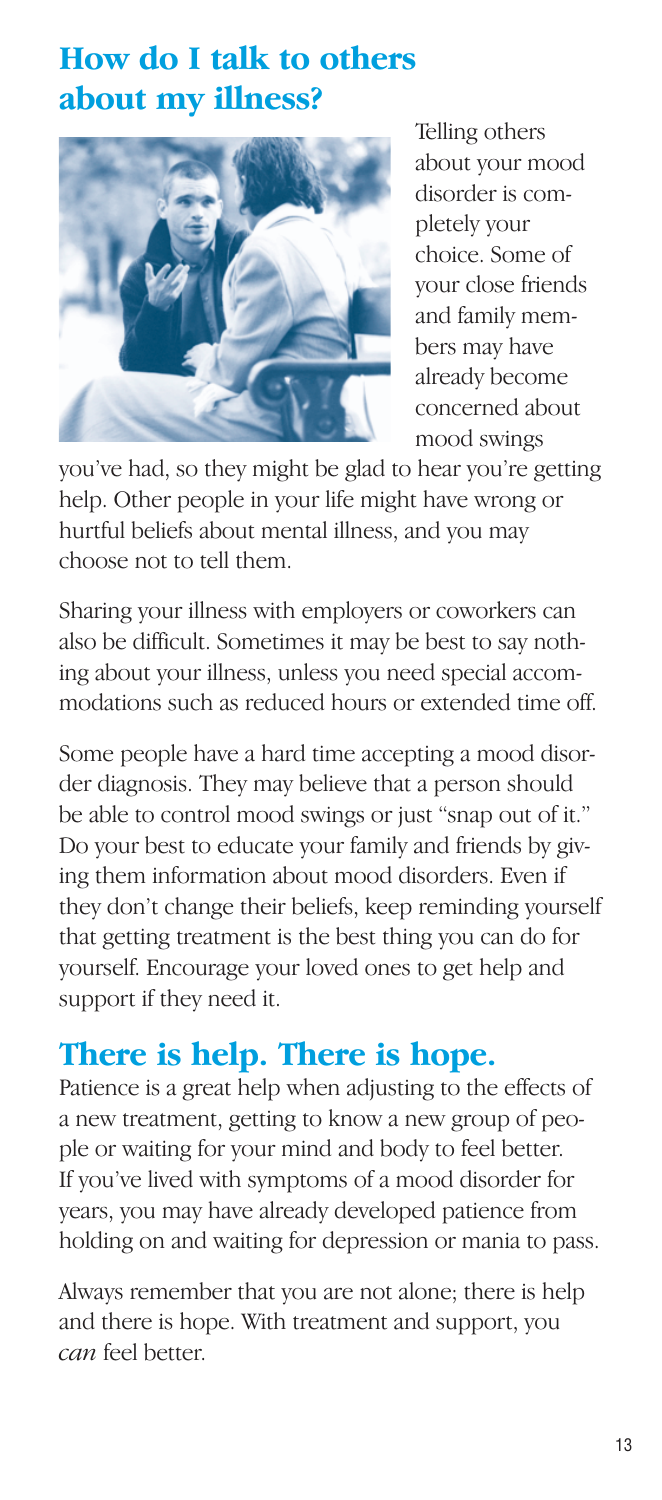## **How do I talk to others about my illness?**



Telling others about your mood disorder is completely your choice. Some of your close friends and family members may have already become concerned about mood swings

you've had, so they might be glad to hear you're getting help. Other people in your life might have wrong or hurtful beliefs about mental illness, and you may choose not to tell them.

Sharing your illness with employers or coworkers can also be difficult. Sometimes it may be best to say nothing about your illness, unless you need special accommodations such as reduced hours or extended time off.

Some people have a hard time accepting a mood disorder diagnosis. They may believe that a person should be able to control mood swings or just "snap out of it." Do your best to educate your family and friends by giving them information about mood disorders. Even if they don't change their beliefs, keep reminding yourself that getting treatment is the best thing you can do for yourself. Encourage your loved ones to get help and support if they need it.

## **There is help. There is hope.**

Patience is a great help when adjusting to the effects of a new treatment, getting to know a new group of people or waiting for your mind and body to feel better. If you've lived with symptoms of a mood disorder for years, you may have already developed patience from holding on and waiting for depression or mania to pass.

Always remember that you are not alone; there is help and there is hope. With treatment and support, you *can* feel better.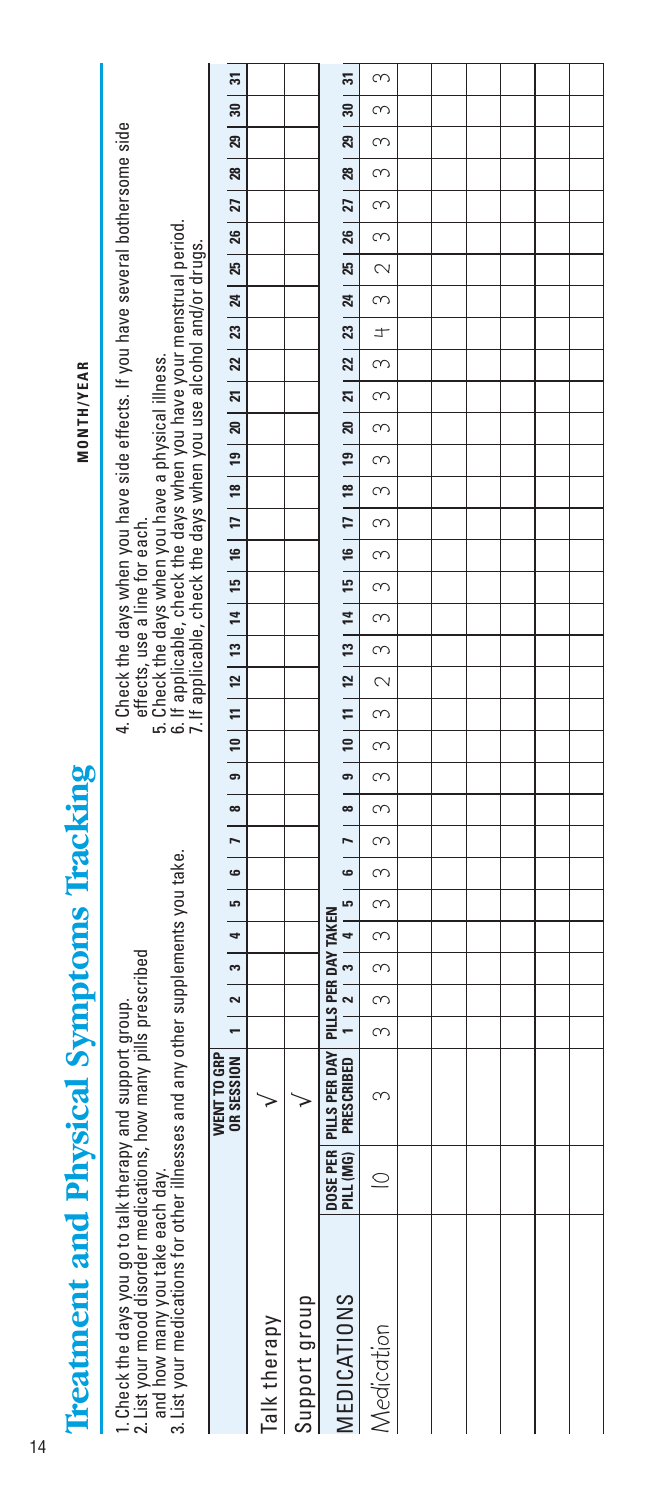|                                                 |                                                                                                                                                                                                                                                         | $\overline{5}$                                                                                                                                       |              |               | ಸ                                                                                    | S                         |  |  |  |
|-------------------------------------------------|---------------------------------------------------------------------------------------------------------------------------------------------------------------------------------------------------------------------------------------------------------|------------------------------------------------------------------------------------------------------------------------------------------------------|--------------|---------------|--------------------------------------------------------------------------------------|---------------------------|--|--|--|
|                                                 |                                                                                                                                                                                                                                                         | $\overline{30}$                                                                                                                                      |              |               | $\frac{1}{20}$                                                                       | $\infty$                  |  |  |  |
|                                                 |                                                                                                                                                                                                                                                         | $\overline{a}$                                                                                                                                       |              |               | $\frac{29}{2}$                                                                       | $\infty$                  |  |  |  |
|                                                 |                                                                                                                                                                                                                                                         | $\frac{1}{28}$                                                                                                                                       |              |               | 28                                                                                   |                           |  |  |  |
|                                                 | 4. Check the days when you have side effects. If you have several bothersome side                                                                                                                                                                       |                                                                                                                                                      |              |               | $\overline{27}$                                                                      | $\infty$<br>$\frac{1}{3}$ |  |  |  |
|                                                 |                                                                                                                                                                                                                                                         |                                                                                                                                                      |              |               |                                                                                      | $\frac{1}{2}$             |  |  |  |
|                                                 |                                                                                                                                                                                                                                                         |                                                                                                                                                      |              |               | 25   26                                                                              |                           |  |  |  |
|                                                 |                                                                                                                                                                                                                                                         |                                                                                                                                                      |              |               |                                                                                      | $\overline{\mathbf{C}}$   |  |  |  |
|                                                 | 5. Check the days when you have a physical illness.<br>6. If applicable, check the days when you have your menstrual period.<br>7. If applicable, check the days when you use alcohol and/or drugs.                                                     |                                                                                                                                                      |              |               | 22   23   24                                                                         | $\frac{1}{3}$             |  |  |  |
|                                                 |                                                                                                                                                                                                                                                         |                                                                                                                                                      |              |               |                                                                                      | $\frac{1}{1}$             |  |  |  |
| <b>MONTH/YEAR</b>                               |                                                                                                                                                                                                                                                         |                                                                                                                                                      |              |               |                                                                                      | $\frac{1}{3}$             |  |  |  |
|                                                 |                                                                                                                                                                                                                                                         |                                                                                                                                                      |              |               | 20   21                                                                              | $\frac{1}{2}$             |  |  |  |
|                                                 |                                                                                                                                                                                                                                                         |                                                                                                                                                      |              |               |                                                                                      | $\frac{1}{3}$             |  |  |  |
|                                                 |                                                                                                                                                                                                                                                         |                                                                                                                                                      |              |               |                                                                                      | $\infty$                  |  |  |  |
|                                                 |                                                                                                                                                                                                                                                         |                                                                                                                                                      |              |               |                                                                                      | $\infty$                  |  |  |  |
|                                                 |                                                                                                                                                                                                                                                         |                                                                                                                                                      |              |               |                                                                                      | $\frac{1}{\infty}$        |  |  |  |
|                                                 |                                                                                                                                                                                                                                                         |                                                                                                                                                      |              |               |                                                                                      | $\frac{1}{\infty}$        |  |  |  |
|                                                 | effects, use a line for each.                                                                                                                                                                                                                           |                                                                                                                                                      |              |               | 1 2 3 4 5 6 7 8 9 10 11 2 3 4 5 6 7 8 9 20 21 4 5 6 7 8 10 11 12 13 14 15 17 18 19 1 | $\frac{3}{2}$             |  |  |  |
|                                                 |                                                                                                                                                                                                                                                         |                                                                                                                                                      |              |               |                                                                                      |                           |  |  |  |
|                                                 |                                                                                                                                                                                                                                                         |                                                                                                                                                      |              |               |                                                                                      | $\frac{1}{2}$             |  |  |  |
|                                                 |                                                                                                                                                                                                                                                         |                                                                                                                                                      |              |               |                                                                                      | $\overline{\mathbf{C}}$   |  |  |  |
|                                                 |                                                                                                                                                                                                                                                         |                                                                                                                                                      |              |               |                                                                                      | $\frac{1}{\infty}$        |  |  |  |
|                                                 |                                                                                                                                                                                                                                                         |                                                                                                                                                      |              |               |                                                                                      | $\frac{1}{3}$             |  |  |  |
|                                                 |                                                                                                                                                                                                                                                         |                                                                                                                                                      |              |               |                                                                                      | $\overline{\mathcal{E}}$  |  |  |  |
|                                                 |                                                                                                                                                                                                                                                         |                                                                                                                                                      |              |               |                                                                                      | $\frac{1}{3}$             |  |  |  |
|                                                 |                                                                                                                                                                                                                                                         |                                                                                                                                                      |              |               |                                                                                      | $-131$                    |  |  |  |
|                                                 |                                                                                                                                                                                                                                                         |                                                                                                                                                      |              |               |                                                                                      | $\infty$                  |  |  |  |
|                                                 |                                                                                                                                                                                                                                                         |                                                                                                                                                      |              |               |                                                                                      | $\frac{1}{3}$             |  |  |  |
|                                                 |                                                                                                                                                                                                                                                         |                                                                                                                                                      |              |               |                                                                                      | $\frac{1}{3}$             |  |  |  |
|                                                 |                                                                                                                                                                                                                                                         |                                                                                                                                                      |              |               |                                                                                      | $\overline{3}$            |  |  |  |
|                                                 |                                                                                                                                                                                                                                                         |                                                                                                                                                      |              |               |                                                                                      | $\frac{1}{3}$             |  |  |  |
|                                                 |                                                                                                                                                                                                                                                         | <code>ORSSSSSON</code>   1   2   3   4   5   6   7   8   9   10   11   12   13   14   15   16   17   18   19   20   21   22   23   24   25   27   27 |              |               | PILLS PER DAY TAKEN                                                                  | S                         |  |  |  |
|                                                 |                                                                                                                                                                                                                                                         |                                                                                                                                                      |              |               |                                                                                      |                           |  |  |  |
|                                                 |                                                                                                                                                                                                                                                         | WENT TO GRP                                                                                                                                          |              |               |                                                                                      | S                         |  |  |  |
|                                                 |                                                                                                                                                                                                                                                         |                                                                                                                                                      |              |               |                                                                                      |                           |  |  |  |
|                                                 |                                                                                                                                                                                                                                                         |                                                                                                                                                      |              |               |                                                                                      |                           |  |  |  |
| <b>Treatment and Physical Symptoms Tracking</b> | and how many you take each day.<br>3. List your medications for other illnesses and any other supplements you take.<br>1. Check the days you go to talk therapy and support group.<br>2. List your mood disorder medications, how many pills prescribed |                                                                                                                                                      |              |               | DOSE PER PILLS PER DAY<br>Pill (MG) Prescribed                                       | $\subseteq$               |  |  |  |
|                                                 |                                                                                                                                                                                                                                                         |                                                                                                                                                      |              |               |                                                                                      |                           |  |  |  |
|                                                 |                                                                                                                                                                                                                                                         |                                                                                                                                                      |              |               |                                                                                      |                           |  |  |  |
|                                                 |                                                                                                                                                                                                                                                         |                                                                                                                                                      |              |               |                                                                                      |                           |  |  |  |
|                                                 |                                                                                                                                                                                                                                                         |                                                                                                                                                      |              | Support group | MEDICATIONS                                                                          |                           |  |  |  |
|                                                 |                                                                                                                                                                                                                                                         |                                                                                                                                                      | Talk therapy |               |                                                                                      | Medication                |  |  |  |
|                                                 |                                                                                                                                                                                                                                                         |                                                                                                                                                      |              |               |                                                                                      |                           |  |  |  |
|                                                 |                                                                                                                                                                                                                                                         |                                                                                                                                                      |              |               |                                                                                      |                           |  |  |  |
|                                                 |                                                                                                                                                                                                                                                         |                                                                                                                                                      |              |               |                                                                                      |                           |  |  |  |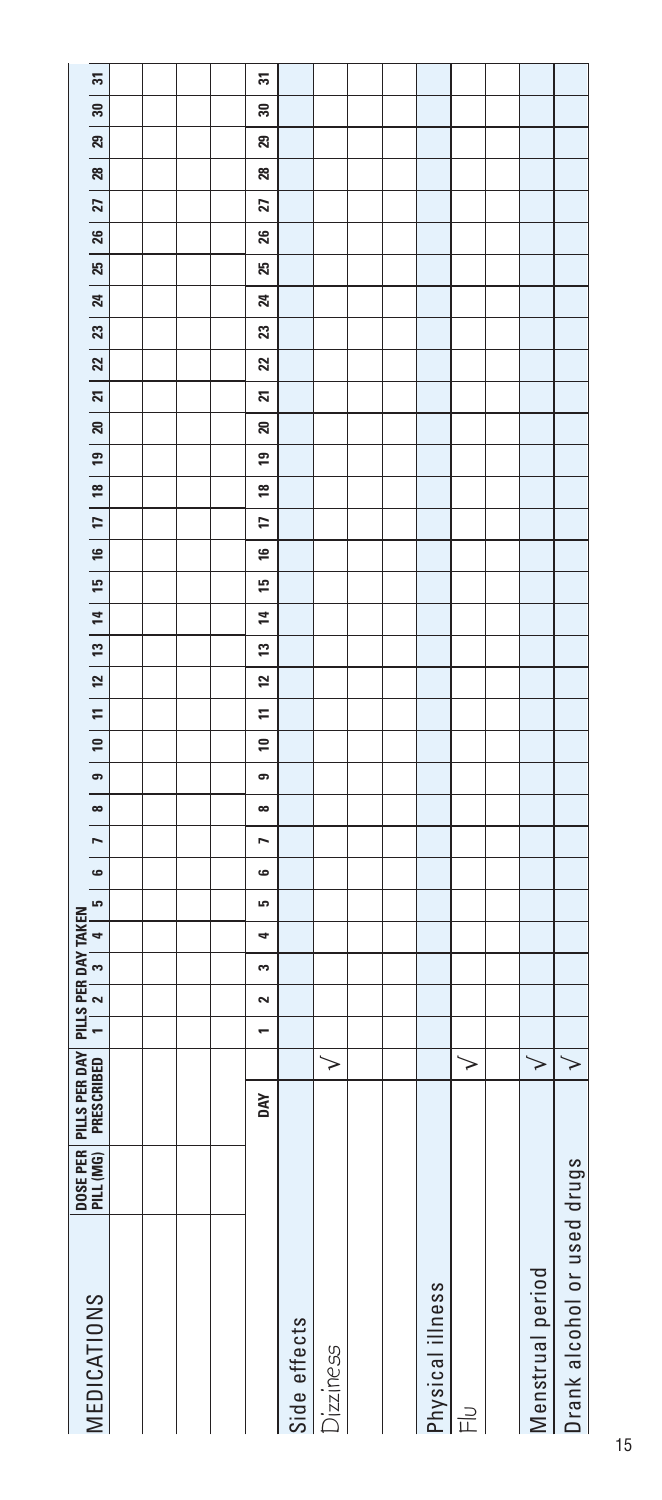| <b>MEDICATIONS</b>          | DOSE PER | PILLS PER DAY |   | $\overline{\phantom{a}}$ | $\sim$ | PILLS PER DAY TAKEN<br>$\mathbf{c}$ | د.<br>$\overline{4}$ | 6 | $\overline{a}$ | $\infty$ | $\sigma$ | $\frac{10}{2}$ | $\begin{array}{c c c c c} \hline 11 & 12 \end{array}$ |    | 13 | E,<br>$\overline{1}$ | F<br>$\frac{16}{2}$ | <u>18</u> | <b>e</b> | ສ | N | 22 | 23 | $\mathbf{z}$ | 25 | 26 | 27 | 28 | 29 | ន | ត |
|-----------------------------|----------|---------------|---|--------------------------|--------|-------------------------------------|----------------------|---|----------------|----------|----------|----------------|-------------------------------------------------------|----|----|----------------------|---------------------|-----------|----------|---|---|----|----|--------------|----|----|----|----|----|---|---|
|                             |          |               |   |                          |        |                                     |                      |   |                |          |          |                |                                                       |    |    |                      |                     |           |          |   |   |    |    |              |    |    |    |    |    |   |   |
|                             |          |               |   |                          |        |                                     |                      |   |                |          |          |                |                                                       |    |    |                      |                     |           |          |   |   |    |    |              |    |    |    |    |    |   |   |
|                             |          |               |   |                          |        |                                     |                      |   |                |          |          |                |                                                       |    |    |                      |                     |           |          |   |   |    |    |              |    |    |    |    |    |   |   |
|                             |          |               |   |                          |        |                                     |                      |   |                |          |          |                |                                                       |    |    |                      |                     |           |          |   |   |    |    |              |    |    |    |    |    |   |   |
|                             |          | DΑY           |   | ÷                        | 2      | S                                   | ما<br>٩              | 6 | r              | $\infty$ | ၜ        | $\overline{1}$ | Ξ                                                     | 12 | 13 | 15<br>4              | H<br>91             | ≌         | 5        | ສ | ম | ສ  | Z  | 24           | ద  | 26 | 21 | ន  | ని | ౾ | 忘 |
| Side effects                |          |               |   |                          |        |                                     |                      |   |                |          |          |                |                                                       |    |    |                      |                     |           |          |   |   |    |    |              |    |    |    |    |    |   |   |
| Dizziness                   |          |               | > |                          |        |                                     |                      |   |                |          |          |                |                                                       |    |    |                      |                     |           |          |   |   |    |    |              |    |    |    |    |    |   |   |
|                             |          |               |   |                          |        |                                     |                      |   |                |          |          |                |                                                       |    |    |                      |                     |           |          |   |   |    |    |              |    |    |    |    |    |   |   |
|                             |          |               |   |                          |        |                                     |                      |   |                |          |          |                |                                                       |    |    |                      |                     |           |          |   |   |    |    |              |    |    |    |    |    |   |   |
| Physical illness            |          |               |   |                          |        |                                     |                      |   |                |          |          |                |                                                       |    |    |                      |                     |           |          |   |   |    |    |              |    |    |    |    |    |   |   |
| $\frac{1}{\mu}$             |          |               | > |                          |        |                                     |                      |   |                |          |          |                |                                                       |    |    |                      |                     |           |          |   |   |    |    |              |    |    |    |    |    |   |   |
|                             |          |               |   |                          |        |                                     |                      |   |                |          |          |                |                                                       |    |    |                      |                     |           |          |   |   |    |    |              |    |    |    |    |    |   |   |
| Menstrual period            |          |               | ≻ |                          |        |                                     |                      |   |                |          |          |                |                                                       |    |    |                      |                     |           |          |   |   |    |    |              |    |    |    |    |    |   |   |
| Drank alcohol or used drugs |          |               | > |                          |        |                                     |                      |   |                |          |          |                |                                                       |    |    |                      |                     |           |          |   |   |    |    |              |    |    |    |    |    |   |   |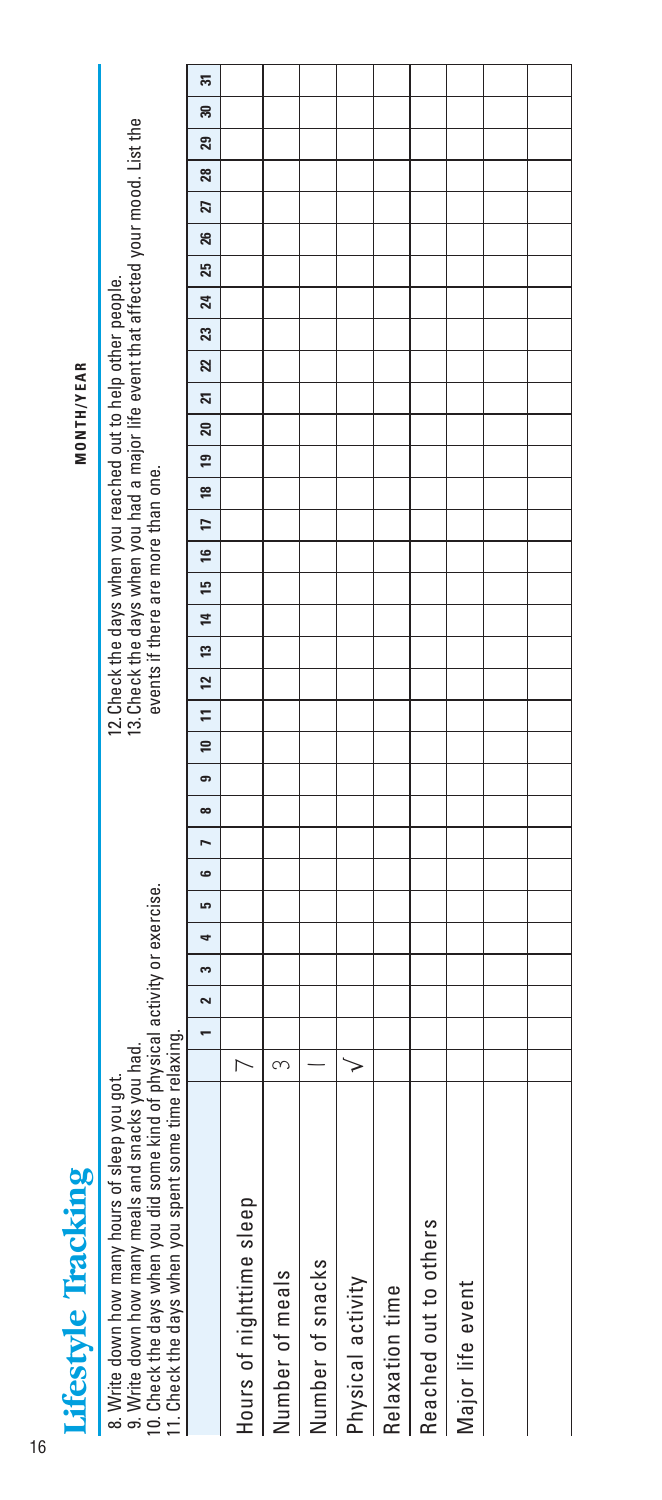Lifestyle Tracking Lifestyle Tracking

**MONTH/YEAR** 

| ne kind of physical activity or exercise.<br>snacks you had.<br>8. Write down how many hours of sleep you got.<br>9. Write down how many meals and<br>10. Check the days when you did som |   |        |              |    |    |          |    |   | 3. Check the days when you had a major life event that affected your mood. List the<br>2. Check the days when you reached out to help other people. | events if there are more than one. |                 |    |   |   |   |   |   |   |   |    |   |     |    |    |    |    |    |        |  |
|-------------------------------------------------------------------------------------------------------------------------------------------------------------------------------------------|---|--------|--------------|----|----|----------|----|---|-----------------------------------------------------------------------------------------------------------------------------------------------------|------------------------------------|-----------------|----|---|---|---|---|---|---|---|----|---|-----|----|----|----|----|----|--------|--|
| 11. Check the days when you spent some time relaxing.                                                                                                                                     |   |        |              |    |    |          |    |   |                                                                                                                                                     |                                    |                 |    |   |   |   |   |   |   |   |    |   |     |    |    |    |    |    |        |  |
|                                                                                                                                                                                           |   | $\sim$ | $\mathbf{c}$ | دی | ίC | $\infty$ | œ. | ₽ | Ξ                                                                                                                                                   | 12                                 | $\overline{13}$ | 14 | E | ≌ | π | ≌ | ፵ | ສ | ភ | 22 | ឌ | শ্ৰ | 25 | 26 | 21 | 28 | ని | ಸ<br>ඝ |  |
|                                                                                                                                                                                           |   |        |              |    |    |          |    |   |                                                                                                                                                     |                                    |                 |    |   |   |   |   |   |   |   |    |   |     |    |    |    |    |    |        |  |
|                                                                                                                                                                                           | ന |        |              |    |    |          |    |   |                                                                                                                                                     |                                    |                 |    |   |   |   |   |   |   |   |    |   |     |    |    |    |    |    |        |  |
|                                                                                                                                                                                           |   |        |              |    |    |          |    |   |                                                                                                                                                     |                                    |                 |    |   |   |   |   |   |   |   |    |   |     |    |    |    |    |    |        |  |
|                                                                                                                                                                                           |   |        |              |    |    |          |    |   |                                                                                                                                                     |                                    |                 |    |   |   |   |   |   |   |   |    |   |     |    |    |    |    |    |        |  |
|                                                                                                                                                                                           |   |        |              |    |    |          |    |   |                                                                                                                                                     |                                    |                 |    |   |   |   |   |   |   |   |    |   |     |    |    |    |    |    |        |  |
|                                                                                                                                                                                           |   |        |              |    |    |          |    |   |                                                                                                                                                     |                                    |                 |    |   |   |   |   |   |   |   |    |   |     |    |    |    |    |    |        |  |
|                                                                                                                                                                                           |   |        |              |    |    |          |    |   |                                                                                                                                                     |                                    |                 |    |   |   |   |   |   |   |   |    |   |     |    |    |    |    |    |        |  |
|                                                                                                                                                                                           |   |        |              |    |    |          |    |   |                                                                                                                                                     |                                    |                 |    |   |   |   |   |   |   |   |    |   |     |    |    |    |    |    |        |  |
|                                                                                                                                                                                           |   |        |              |    |    |          |    |   |                                                                                                                                                     |                                    |                 |    |   |   |   |   |   |   |   |    |   |     |    |    |    |    |    |        |  |
|                                                                                                                                                                                           |   |        |              |    |    |          |    |   |                                                                                                                                                     |                                    |                 |    |   |   |   |   |   |   |   |    |   |     |    |    |    |    |    |        |  |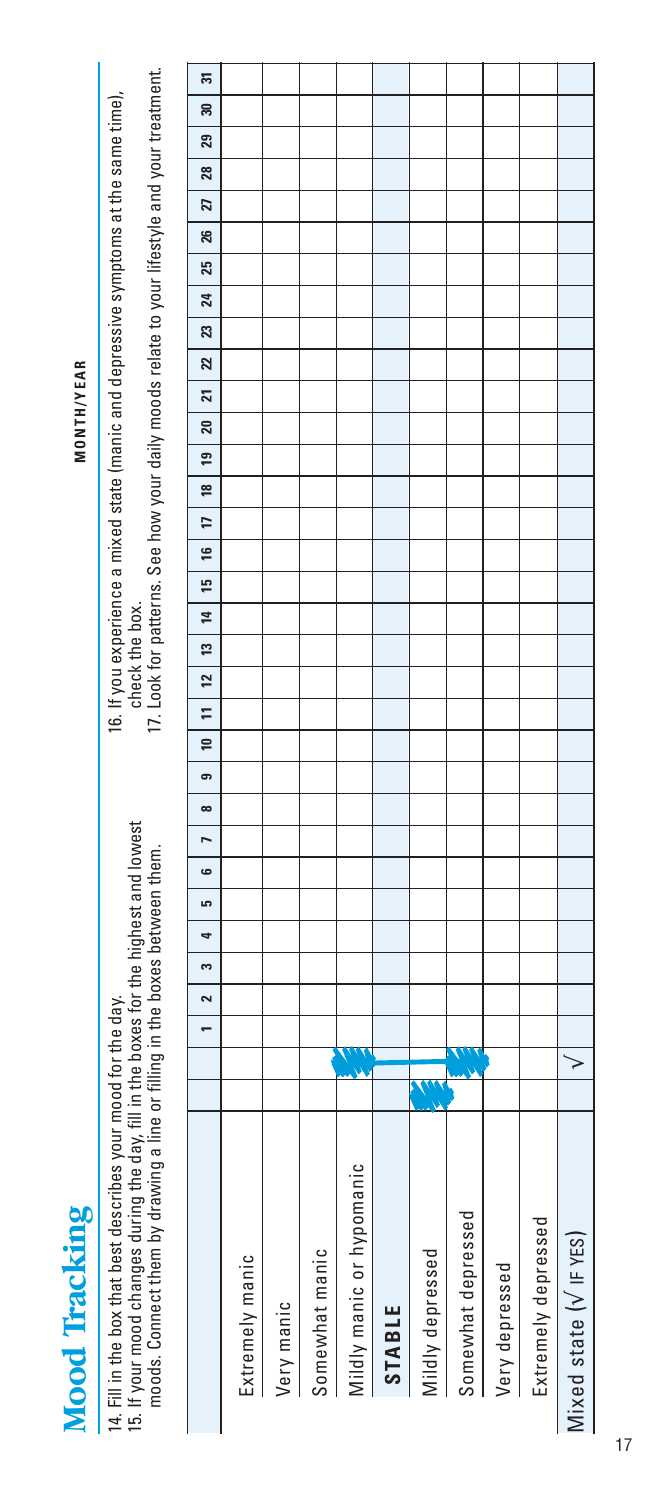Mood Tracking Mood Tracking

**MONTH/YEAR** 

16 If you avaioned a mixed state (manic and depressive symmeters at the same time) 15. If your mood changes during the day, fill in the boxes for the highest and lowest<br>moods. Connect them by drawing a line or filling in the boxes between them. 15. If your mood changes during the day, fill in the boxes for the highest and lowest moods. Connect them by drawing a line or filling in the boxes between them. 14. Fill in the box that best describes your mood for the day. 14. Fill in the box that best describes your mood for the day.

|                           |   | 3<br>2 | 4 | LO, | 6 | r | $\infty$ | ക | $\Xi$<br>₽ | 12 | 13 | $\overline{1}$ | 15 | 16 | t: | 19<br>$\frac{8}{2}$ | ສ | 21 | ສ | 23 | 24 | 25 | 26 | 27 | ន | 29 | 5<br>౾ |
|---------------------------|---|--------|---|-----|---|---|----------|---|------------|----|----|----------------|----|----|----|---------------------|---|----|---|----|----|----|----|----|---|----|--------|
| Extremely manic           |   |        |   |     |   |   |          |   |            |    |    |                |    |    |    |                     |   |    |   |    |    |    |    |    |   |    |        |
| Very manic                |   |        |   |     |   |   |          |   |            |    |    |                |    |    |    |                     |   |    |   |    |    |    |    |    |   |    |        |
| Somewhat manic            |   |        |   |     |   |   |          |   |            |    |    |                |    |    |    |                     |   |    |   |    |    |    |    |    |   |    |        |
| Mildly manic or hypomanio |   |        |   |     |   |   |          |   |            |    |    |                |    |    |    |                     |   |    |   |    |    |    |    |    |   |    |        |
| <b>STABLE</b>             |   |        |   |     |   |   |          |   |            |    |    |                |    |    |    |                     |   |    |   |    |    |    |    |    |   |    |        |
| Mildly depressed          |   |        |   |     |   |   |          |   |            |    |    |                |    |    |    |                     |   |    |   |    |    |    |    |    |   |    |        |
| Somewhat depressed        |   |        |   |     |   |   |          |   |            |    |    |                |    |    |    |                     |   |    |   |    |    |    |    |    |   |    |        |
| Very depressed            |   |        |   |     |   |   |          |   |            |    |    |                |    |    |    |                     |   |    |   |    |    |    |    |    |   |    |        |
| Extremely depressed       |   |        |   |     |   |   |          |   |            |    |    |                |    |    |    |                     |   |    |   |    |    |    |    |    |   |    |        |
| Mixed state (V IF YES)    | > |        |   |     |   |   |          |   |            |    |    |                |    |    |    |                     |   |    |   |    |    |    |    |    |   |    |        |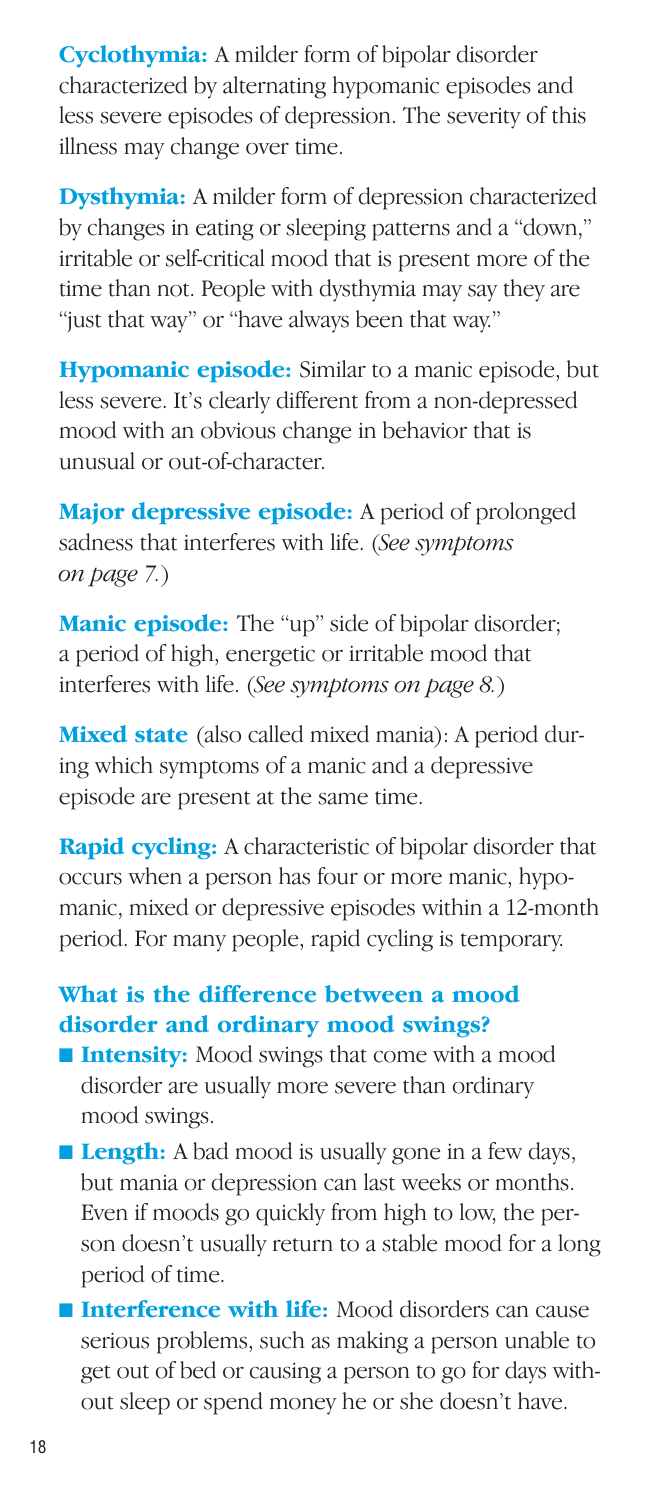**Cyclothymia:** A milder form of bipolar disorder characterized by alternating hypomanic episodes and less severe episodes of depression. The severity of this illness may change over time.

**Dysthymia:** A milder form of depression characterized by changes in eating or sleeping patterns and a "down," irritable or self-critical mood that is present more of the time than not. People with dysthymia may say they are "just that way" or "have always been that way."

**Hypomanic episode:** Similar to a manic episode, but less severe. It's clearly different from a non-depressed mood with an obvious change in behavior that is unusual or out-of-character.

**Major depressive episode:** A period of prolonged sadness that interferes with life. (*See symptoms on page 7.*)

**Manic episode:** The "up" side of bipolar disorder; a period of high, energetic or irritable mood that interferes with life. (*See symptoms on page 8.*)

**Mixed state** (also called mixed mania): A period during which symptoms of a manic and a depressive episode are present at the same time.

**Rapid cycling:** A characteristic of bipolar disorder that occurs when a person has four or more manic, hypomanic, mixed or depressive episodes within a 12-month period. For many people, rapid cycling is temporary.

#### **What is the difference between a mood disorder and ordinary mood swings?**

- **Intensity:** Mood swings that come with a mood disorder are usually more severe than ordinary mood swings.
- **Length:** A bad mood is usually gone in a few days, but mania or depression can last weeks or months. Even if moods go quickly from high to low, the person doesn't usually return to a stable mood for a long period of time.
- **Interference with life:** Mood disorders can cause serious problems, such as making a person unable to get out of bed or causing a person to go for days without sleep or spend money he or she doesn't have.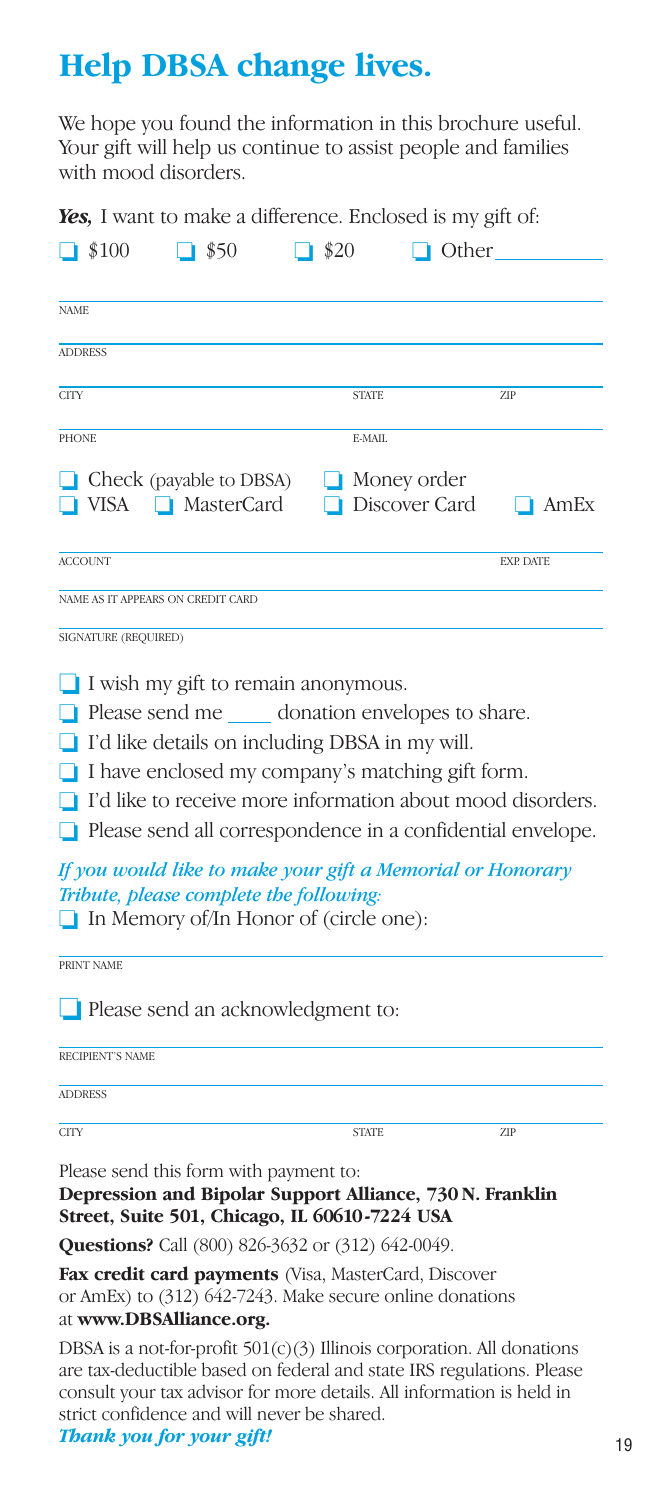## **Help DBSA change lives.**

We hope you found the information in this brochure useful. Your gift will help us continue to assist people and families with mood disorders.

*Yes,* I want to make a difference. Enclosed is my gift of:

|              | $\Box$ \$100            | <b>100,</b> I want to make a unicreated. Laterosed is my gut on.<br>$\Box$ \$50                                                                                                                            | $\Box$ \$20 |              | $\Box$ Other                 |                                                                                                                                 |
|--------------|-------------------------|------------------------------------------------------------------------------------------------------------------------------------------------------------------------------------------------------------|-------------|--------------|------------------------------|---------------------------------------------------------------------------------------------------------------------------------|
| <b>NAME</b>  |                         |                                                                                                                                                                                                            |             |              |                              |                                                                                                                                 |
|              | <b>ADDRESS</b>          |                                                                                                                                                                                                            |             |              |                              |                                                                                                                                 |
| <b>CITY</b>  |                         |                                                                                                                                                                                                            |             | <b>STATE</b> |                              | ZIP                                                                                                                             |
| <b>PHONE</b> |                         |                                                                                                                                                                                                            |             | E-MAIL       |                              |                                                                                                                                 |
|              |                         |                                                                                                                                                                                                            |             |              |                              |                                                                                                                                 |
|              |                         | $\Box$ Check (payable to DBSA)<br>■ VISA ■ MasterCard                                                                                                                                                      |             |              | Money order<br>Discover Card | $\blacksquare$ AmEx                                                                                                             |
|              | <b>ACCOUNT</b>          |                                                                                                                                                                                                            |             |              |                              | <b>EXP. DATE</b>                                                                                                                |
|              |                         | NAME AS IT APPEARS ON CREDIT CARD                                                                                                                                                                          |             |              |                              |                                                                                                                                 |
|              | SIGNATURE (REQUIRED)    |                                                                                                                                                                                                            |             |              |                              |                                                                                                                                 |
| ◘<br>n       |                         | I have enclosed my company's matching gift form.<br>If you would like to make your gift a Memorial or Honorary<br>Tribute, please complete the following:<br>$\Box$ In Memory of/In Honor of (circle one): |             |              |                              | I'd like to receive more information about mood disorders.<br>$\Box$ Please send all correspondence in a confidential envelope. |
|              | PRINT NAME              | Please send an acknowledgment to:                                                                                                                                                                          |             |              |                              |                                                                                                                                 |
|              | <b>RECIPIENT'S NAME</b> |                                                                                                                                                                                                            |             |              |                              |                                                                                                                                 |
|              | <b>ADDRESS</b>          |                                                                                                                                                                                                            |             |              |                              |                                                                                                                                 |
| <b>CITY</b>  |                         |                                                                                                                                                                                                            |             | <b>STATE</b> |                              | ZIP                                                                                                                             |
|              |                         | Please send this form with payment to:<br>Depression and Bipolar Support Alliance, 730 N. Franklin<br>Street, Suite 501, Chicago, IL 60610-7224 USA                                                        |             |              |                              |                                                                                                                                 |
|              |                         | Questions? Call (800) 826-3632 or (312) 642-0049.                                                                                                                                                          |             |              |                              |                                                                                                                                 |
|              |                         | Fax credit card payments (Visa, MasterCard, Discover                                                                                                                                                       |             |              |                              |                                                                                                                                 |

or AmEx) to (312) 642-7243. Make secure online donations at **www.DBSAlliance.org.**

DBSA is a not-for-profit 501(c)(3) Illinois corporation. All donations are tax-deductible based on federal and state IRS regulations. Please consult your tax advisor for more details. All information is held in strict confidence and will never be shared.

*Thank you for your gift!*